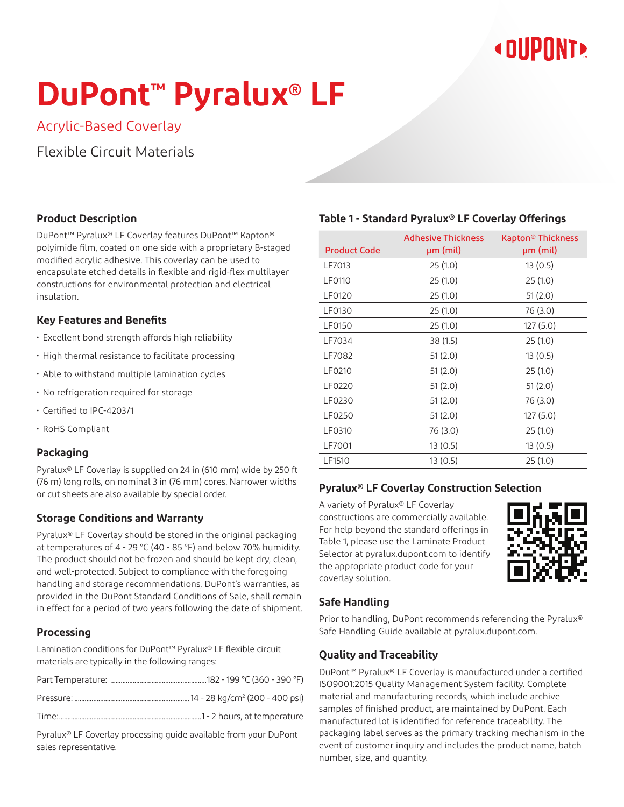# **« DUPONT!**

# **DuPont™ Pyralux® LF**

Acrylic-Based Coverlay

Flexible Circuit Materials

# **Product Description**

DuPont™ Pyralux® LF Coverlay features DuPont™ Kapton® polyimide film, coated on one side with a proprietary B-staged modified acrylic adhesive. This coverlay can be used to encapsulate etched details in flexible and rigid-flex multilayer constructions for environmental protection and electrical insulation.

# **Key Features and Benefits**

- Excellent bond strength affords high reliability
- High thermal resistance to facilitate processing
- Able to withstand multiple lamination cycles
- No refrigeration required for storage
- Certified to IPC-4203/1
- RoHS Compliant

# **Packaging**

Pyralux® LF Coverlay is supplied on 24 in (610 mm) wide by 250 ft (76 m) long rolls, on nominal 3 in (76 mm) cores. Narrower widths or cut sheets are also available by special order.

# **Storage Conditions and Warranty**

Pyralux® LF Coverlay should be stored in the original packaging at temperatures of 4 - 29 °C (40 - 85 °F) and below 70% humidity. The product should not be frozen and should be kept dry, clean, and well-protected. Subject to compliance with the foregoing handling and storage recommendations, DuPont's warranties, as provided in the DuPont Standard Conditions of Sale, shall remain in effect for a period of two years following the date of shipment.

# **Processing**

Lamination conditions for DuPont™ Pyralux® LF flexible circuit materials are typically in the following ranges:

Pressure: ...................................................................14 - 28 kg/cm2 (200 - 400 psi)

Time:...................................................................................1 - 2 hours, at temperature

Pyralux® LF Coverlay processing guide available from your DuPont sales representative.

# **Table 1 - Standard Pyralux® LF Coverlay Offerings**

| <b>Product Code</b> | <b>Adhesive Thickness</b><br>µm (mil) | Kapton® Thickness<br>µm (mil) |
|---------------------|---------------------------------------|-------------------------------|
| LF7013              | 25(1.0)                               | 13(0.5)                       |
| <b>LF0110</b>       | 25(1.0)                               | 25(1.0)                       |
| LF0120              | 25(1.0)                               | 51(2.0)                       |
| LF0130              | 25(1.0)                               | 76 (3.0)                      |
| <b>LF0150</b>       | 25(1.0)                               | 127(5.0)                      |
| LF7034              | 38 (1.5)                              | 25(1.0)                       |
| LF7082              | 51(2.0)                               | 13(0.5)                       |
| LF0210              | 51(2.0)                               | 25(1.0)                       |
| LF0220              | 51(2.0)                               | 51(2.0)                       |
| LF0230              | 51(2.0)                               | 76 (3.0)                      |
| LF0250              | 51(2.0)                               | 127(5.0)                      |
| LF0310              | 76 (3.0)                              | 25(1.0)                       |
| LF7001              | 13(0.5)                               | 13(0.5)                       |
| LF1510              | 13(0.5)                               | 25(1.0)                       |

# **Pyralux® LF Coverlay Construction Selection**

A variety of Pyralux® LF Coverlay constructions are commercially available. For help beyond the standard offerings in Table 1, please use the Laminate Product Selector at pyralux.dupont.com to identify the appropriate product code for your coverlay solution.



# **Safe Handling**

Prior to handling, DuPont recommends referencing the Pyralux® Safe Handling Guide available at pyralux.dupont.com.

# **Quality and Traceability**

DuPont™ Pyralux® LF Coverlay is manufactured under a certified ISO9001:2015 Quality Management System facility. Complete material and manufacturing records, which include archive samples of finished product, are maintained by DuPont. Each manufactured lot is identified for reference traceability. The packaging label serves as the primary tracking mechanism in the event of customer inquiry and includes the product name, batch number, size, and quantity.